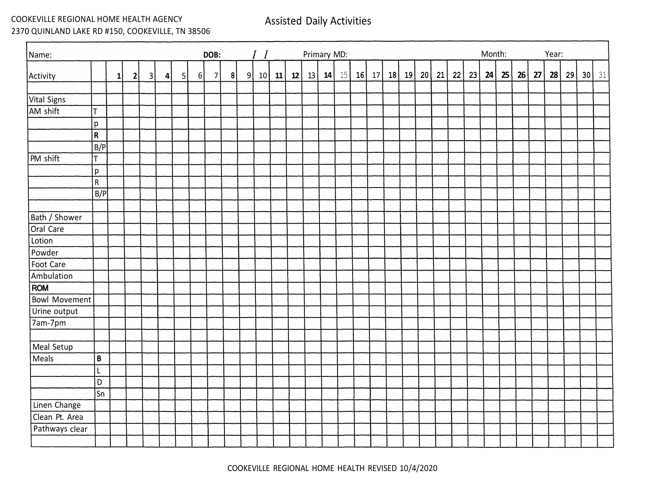COOKEVILLE REGIONAL HOME HEALTH AGENCY 2370 QUINLAND LAKE RD #150, COOKEVILLE, TN 38506 Assisted Daily Activities

| Name:                |                        |              |              | DOB: |         | $I$ $I$  | Primary MD: |   |   |               |  |  |    |    |  |       | Month:<br>Year: |         |    |    |    |    |    |    |    |    |    |    |    |    |
|----------------------|------------------------|--------------|--------------|------|---------|----------|-------------|---|---|---------------|--|--|----|----|--|-------|-----------------|---------|----|----|----|----|----|----|----|----|----|----|----|----|
| Activity             |                        | $\mathbf{1}$ | $\mathbf{2}$ | 3    | $\vert$ | $5\vert$ | $6\vert$    | 7 | 8 | 9 10 11 12 13 |  |  | 14 | 15 |  | 16 17 |                 | 18   19 | 20 | 21 | 22 | 23 | 24 | 25 | 26 | 27 | 28 | 29 | 30 | 31 |
| Vital Signs          |                        |              |              |      |         |          |             |   |   |               |  |  |    |    |  |       |                 |         |    |    |    |    |    |    |    |    |    |    |    |    |
| AM shift             | T                      |              |              |      |         |          |             |   |   |               |  |  |    |    |  |       |                 |         |    |    |    |    |    |    |    |    |    |    |    |    |
|                      | p                      |              |              |      |         |          |             |   |   |               |  |  |    |    |  |       |                 |         |    |    |    |    |    |    |    |    |    |    |    |    |
|                      | $\mathsf R$            |              |              |      |         |          |             |   |   |               |  |  |    |    |  |       |                 |         |    |    |    |    |    |    |    |    |    |    |    |    |
|                      | B/P                    |              |              |      |         |          |             |   |   |               |  |  |    |    |  |       |                 |         |    |    |    |    |    |    |    |    |    |    |    |    |
| PM shift             | T                      |              |              |      |         |          |             |   |   |               |  |  |    |    |  |       |                 |         |    |    |    |    |    |    |    |    |    |    |    |    |
|                      | p                      |              |              |      |         |          |             |   |   |               |  |  |    |    |  |       |                 |         |    |    |    |    |    |    |    |    |    |    |    |    |
|                      | $\overline{R}$         |              |              |      |         |          |             |   |   |               |  |  |    |    |  |       |                 |         |    |    |    |    |    |    |    |    |    |    |    |    |
|                      | B/P                    |              |              |      |         |          |             |   |   |               |  |  |    |    |  |       |                 |         |    |    |    |    |    |    |    |    |    |    |    |    |
|                      |                        |              |              |      |         |          |             |   |   |               |  |  |    |    |  |       |                 |         |    |    |    |    |    |    |    |    |    |    |    |    |
| Bath / Shower        |                        |              |              |      |         |          |             |   |   |               |  |  |    |    |  |       |                 |         |    |    |    |    |    |    |    |    |    |    |    |    |
| Oral Care<br>Lotion  |                        |              |              |      |         |          |             |   |   |               |  |  |    |    |  |       |                 |         |    |    |    |    |    |    |    |    |    |    |    |    |
| Powder               |                        |              |              |      |         |          |             |   |   |               |  |  |    |    |  |       |                 |         |    |    |    |    |    |    |    |    |    |    |    |    |
| Foot Care            |                        |              |              |      |         |          |             |   |   |               |  |  |    |    |  |       |                 |         |    |    |    |    |    |    |    |    |    |    |    |    |
| Ambulation           |                        |              |              |      |         |          |             |   |   |               |  |  |    |    |  |       |                 |         |    |    |    |    |    |    |    |    |    |    |    |    |
| <b>ROM</b>           |                        |              |              |      |         |          |             |   |   |               |  |  |    |    |  |       |                 |         |    |    |    |    |    |    |    |    |    |    |    |    |
| <b>Bowl Movement</b> |                        |              |              |      |         |          |             |   |   |               |  |  |    |    |  |       |                 |         |    |    |    |    |    |    |    |    |    |    |    |    |
| Urine output         |                        |              |              |      |         |          |             |   |   |               |  |  |    |    |  |       |                 |         |    |    |    |    |    |    |    |    |    |    |    |    |
| 7am-7pm              |                        |              |              |      |         |          |             |   |   |               |  |  |    |    |  |       |                 |         |    |    |    |    |    |    |    |    |    |    |    |    |
|                      |                        |              |              |      |         |          |             |   |   |               |  |  |    |    |  |       |                 |         |    |    |    |    |    |    |    |    |    |    |    |    |
| Meal Setup           |                        |              |              |      |         |          |             |   |   |               |  |  |    |    |  |       |                 |         |    |    |    |    |    |    |    |    |    |    |    |    |
| Meals                | $\, {\bf B}$           |              |              |      |         |          |             |   |   |               |  |  |    |    |  |       |                 |         |    |    |    |    |    |    |    |    |    |    |    |    |
|                      | $\mathsf{L}$           |              |              |      |         |          |             |   |   |               |  |  |    |    |  |       |                 |         |    |    |    |    |    |    |    |    |    |    |    |    |
|                      | D                      |              |              |      |         |          |             |   |   |               |  |  |    |    |  |       |                 |         |    |    |    |    |    |    |    |    |    |    |    |    |
|                      | $\overline{\text{Sn}}$ |              |              |      |         |          |             |   |   |               |  |  |    |    |  |       |                 |         |    |    |    |    |    |    |    |    |    |    |    |    |
| Linen Change         |                        |              |              |      |         |          |             |   |   |               |  |  |    |    |  |       |                 |         |    |    |    |    |    |    |    |    |    |    |    |    |
| Clean Pt. Area       |                        |              |              |      |         |          |             |   |   |               |  |  |    |    |  |       |                 |         |    |    |    |    |    |    |    |    |    |    |    |    |
| Pathways clear       |                        |              |              |      |         |          |             |   |   |               |  |  |    |    |  |       |                 |         |    |    |    |    |    |    |    |    |    |    |    |    |
|                      |                        |              |              |      |         |          |             |   |   |               |  |  |    |    |  |       |                 |         |    |    |    |    |    |    |    |    |    |    |    |    |